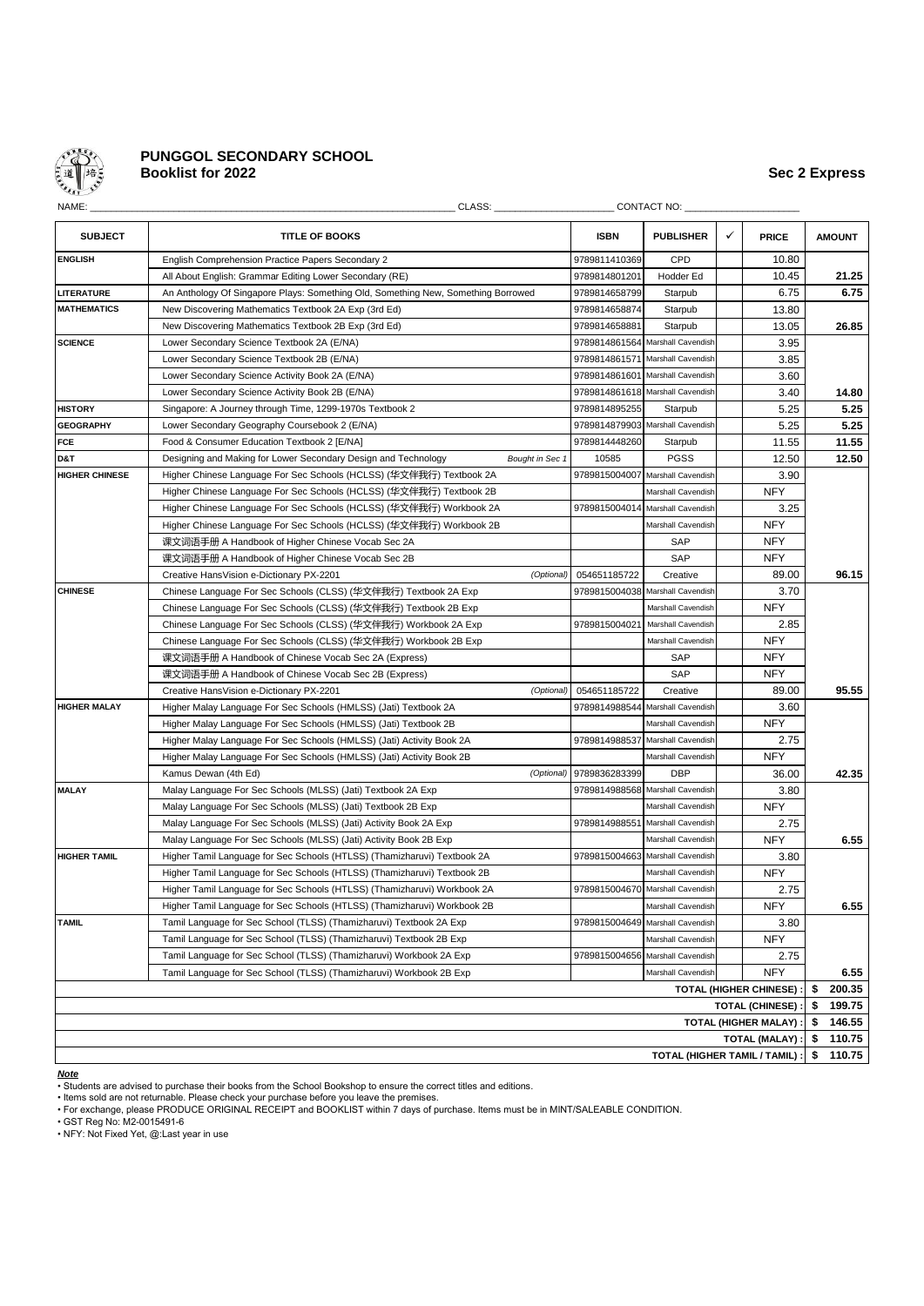

# **PUNGGOL SECONDARY SCHOOL Booklist for 2022 Sec 2 Express**

| NAME:                 | CLASS:                                                                            |                 |               | <b>CONTACT NO:</b>               |   |                                |    |               |
|-----------------------|-----------------------------------------------------------------------------------|-----------------|---------------|----------------------------------|---|--------------------------------|----|---------------|
| <b>SUBJECT</b>        | <b>TITLE OF BOOKS</b>                                                             |                 | <b>ISBN</b>   | <b>PUBLISHER</b>                 | ✓ | <b>PRICE</b>                   |    | <b>AMOUNT</b> |
| <b>ENGLISH</b>        | English Comprehension Practice Papers Secondary 2                                 |                 | 9789811410369 | CPD                              |   | 10.80                          |    |               |
|                       | All About English: Grammar Editing Lower Secondary (RE)                           |                 | 9789814801201 | Hodder Ed                        |   | 10.45                          |    | 21.25         |
| LITERATURE            | An Anthology Of Singapore Plays: Something Old, Something New, Something Borrowed |                 | 9789814658799 | Starpub                          |   | 6.75                           |    | 6.75          |
| <b>MATHEMATICS</b>    | New Discovering Mathematics Textbook 2A Exp (3rd Ed)                              |                 | 9789814658874 | Starpub                          |   | 13.80                          |    |               |
|                       | New Discovering Mathematics Textbook 2B Exp (3rd Ed)                              |                 | 9789814658881 | Starpub                          |   | 13.05                          |    | 26.85         |
| <b>SCIENCE</b>        | Lower Secondary Science Textbook 2A (E/NA)                                        |                 | 9789814861564 | Marshall Cavendish               |   | 3.95                           |    |               |
|                       | Lower Secondary Science Textbook 2B (E/NA)                                        |                 | 9789814861571 | Marshall Cavendish               |   | 3.85                           |    |               |
|                       | Lower Secondary Science Activity Book 2A (E/NA)                                   |                 | 9789814861601 | Marshall Cavendish               |   | 3.60                           |    |               |
|                       | Lower Secondary Science Activity Book 2B (E/NA)                                   |                 |               | 9789814861618 Marshall Cavendish |   | 3.40                           |    | 14.80         |
| <b>HISTORY</b>        | Singapore: A Journey through Time, 1299-1970s Textbook 2                          |                 | 9789814895255 | Starpub                          |   | 5.25                           |    | 5.25          |
| <b>GEOGRAPHY</b>      | Lower Secondary Geography Coursebook 2 (E/NA)                                     |                 |               | 9789814879903 Marshall Cavendish |   | 5.25                           |    | 5.25          |
| FCE                   | Food & Consumer Education Textbook 2 [E/NA]                                       |                 | 9789814448260 | Starpub                          |   | 11.55                          |    | 11.55         |
| D&T                   | Designing and Making for Lower Secondary Design and Technology                    | Bought in Sec 1 | 10585         | <b>PGSS</b>                      |   | 12.50                          |    | 12.50         |
| <b>HIGHER CHINESE</b> | Higher Chinese Language For Sec Schools (HCLSS) (华文伴我行) Textbook 2A               |                 | 9789815004007 | Marshall Cavendish               |   | 3.90                           |    |               |
|                       | Higher Chinese Language For Sec Schools (HCLSS) (华文伴我行) Textbook 2B               |                 |               | Marshall Cavendish               |   | <b>NFY</b>                     |    |               |
|                       | Higher Chinese Language For Sec Schools (HCLSS) (华文伴我行) Workbook 2A               |                 | 9789815004014 | Marshall Cavendish               |   | 3.25                           |    |               |
|                       | Higher Chinese Language For Sec Schools (HCLSS) (华文伴我行) Workbook 2B               |                 |               | Marshall Cavendish               |   | <b>NFY</b>                     |    |               |
|                       | 课文词语手册 A Handbook of Higher Chinese Vocab Sec 2A                                  |                 |               | <b>SAP</b>                       |   | <b>NFY</b>                     |    |               |
|                       | 课文词语手册 A Handbook of Higher Chinese Vocab Sec 2B                                  |                 |               | SAP                              |   | <b>NFY</b>                     |    |               |
|                       | Creative HansVision e-Dictionary PX-2201                                          | (Optional)      | 054651185722  | Creative                         |   | 89.00                          |    | 96.15         |
| <b>CHINESE</b>        | Chinese Language For Sec Schools (CLSS) (华文伴我行) Textbook 2A Exp                   |                 | 9789815004038 | Marshall Cavendish               |   | 3.70                           |    |               |
|                       | Chinese Language For Sec Schools (CLSS) (华文伴我行) Textbook 2B Exp                   |                 |               | Marshall Cavendish               |   | <b>NFY</b>                     |    |               |
|                       | Chinese Language For Sec Schools (CLSS) (华文伴我行) Workbook 2A Exp                   |                 | 9789815004021 | Marshall Cavendish               |   | 2.85                           |    |               |
|                       | Chinese Language For Sec Schools (CLSS) (华文伴我行) Workbook 2B Exp                   |                 |               | Marshall Cavendish               |   | <b>NFY</b>                     |    |               |
|                       | 课文词语手册 A Handbook of Chinese Vocab Sec 2A (Express)                               |                 |               | SAP                              |   | <b>NFY</b>                     |    |               |
|                       | 课文词语手册 A Handbook of Chinese Vocab Sec 2B (Express)                               |                 |               | <b>SAP</b>                       |   | <b>NFY</b>                     |    |               |
|                       | Creative HansVision e-Dictionary PX-2201                                          | (Optional)      | 054651185722  | Creative                         |   | 89.00                          |    | 95.55         |
| <b>HIGHER MALAY</b>   | Higher Malay Language For Sec Schools (HMLSS) (Jati) Textbook 2A                  |                 | 9789814988544 | Marshall Cavendish               |   | 3.60                           |    |               |
|                       | Higher Malay Language For Sec Schools (HMLSS) (Jati) Textbook 2B                  |                 |               | Marshall Cavendish               |   | <b>NFY</b>                     |    |               |
|                       | Higher Malay Language For Sec Schools (HMLSS) (Jati) Activity Book 2A             |                 | 9789814988537 | Marshall Cavendish               |   | 2.75                           |    |               |
|                       | Higher Malay Language For Sec Schools (HMLSS) (Jati) Activity Book 2B             |                 |               | Marshall Cavendish               |   | <b>NFY</b>                     |    |               |
|                       | Kamus Dewan (4th Ed)                                                              | (Optional)      | 9789836283399 | <b>DBP</b>                       |   | 36.00                          |    | 42.35         |
| <b>MALAY</b>          | Malay Language For Sec Schools (MLSS) (Jati) Textbook 2A Exp                      |                 | 9789814988568 | Marshall Cavendish               |   | 3.80                           |    |               |
|                       | Malay Language For Sec Schools (MLSS) (Jati) Textbook 2B Exp                      |                 |               | Marshall Cavendish               |   | <b>NFY</b>                     |    |               |
|                       | Malay Language For Sec Schools (MLSS) (Jati) Activity Book 2A Exp                 |                 | 9789814988551 | Marshall Cavendish               |   | 2.75                           |    |               |
|                       | Malay Language For Sec Schools (MLSS) (Jati) Activity Book 2B Exp                 |                 |               | Marshall Cavendish               |   | <b>NFY</b>                     |    | 6.55          |
| <b>HIGHER TAMIL</b>   | Higher Tamil Language for Sec Schools (HTLSS) (Thamizharuvi) Textbook 2A          |                 | 9789815004663 | Marshall Cavendish               |   | 3.80                           |    |               |
|                       | Higher Tamil Language for Sec Schools (HTLSS) (Thamizharuvi) Textbook 2B          |                 |               | Marshall Cavendish               |   | <b>NFY</b>                     |    |               |
|                       | Higher Tamil Language for Sec Schools (HTLSS) (Thamizharuvi) Workbook 2A          |                 |               | 9789815004670 Marshall Cavendish |   | 2.75                           |    |               |
|                       | Higher Tamil Language for Sec Schools (HTLSS) (Thamizharuvi) Workbook 2B          |                 |               | Marshall Cavendish               |   | <b>NFY</b>                     |    | 6.55          |
| <b>TAMIL</b>          | Tamil Language for Sec School (TLSS) (Thamizharuvi) Textbook 2A Exp               |                 | 9789815004649 | Marshall Cavendish               |   | 3.80                           |    |               |
|                       | Tamil Language for Sec School (TLSS) (Thamizharuvi) Textbook 2B Exp               |                 |               | Marshall Cavendish               |   | <b>NFY</b>                     |    |               |
|                       | Tamil Language for Sec School (TLSS) (Thamizharuvi) Workbook 2A Exp               |                 | 9789815004656 | Marshall Cavendish               |   | 2.75                           |    |               |
|                       | Tamil Language for Sec School (TLSS) (Thamizharuvi) Workbook 2B Exp               |                 |               | Marshall Cavendish               |   | <b>NFY</b>                     |    | 6.55          |
|                       |                                                                                   |                 |               |                                  |   | <b>TOTAL (HIGHER CHINESE):</b> | \$ | 200.35        |
|                       |                                                                                   |                 |               |                                  |   | <b>TOTAL (CHINESE):</b>        | \$ | 199.75        |
|                       |                                                                                   |                 |               |                                  |   | TOTAL (HIGHER MALAY) :         | \$ | 146.55        |
| TOTAL (MALAY) :       |                                                                                   |                 |               |                                  |   |                                |    |               |
|                       |                                                                                   |                 |               | TOTAL (HIGHER TAMIL / TAMIL) :   |   |                                | \$ | 110.75        |

*Note*

• Students are advised to purchase their books from the School Bookshop to ensure the correct titles and editions.

• Items sold are not returnable. Please check your purchase before you leave the premises. • For exchange, please PRODUCE ORIGINAL RECEIPT and BOOKLIST within 7 days of purchase. Items must be in MINT/SALEABLE CONDITION.

• GST Reg No: M2-0015491-6 • NFY: Not Fixed Yet, @:Last year in use